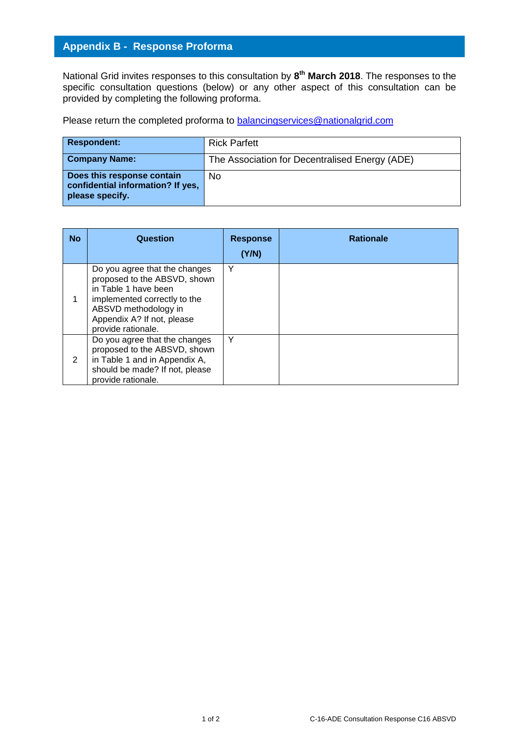## **Appendix B - Response Proforma**

National Grid invites responses to this consultation by **8 th March 2018**. The responses to the specific consultation questions (below) or any other aspect of this consultation can be provided by completing the following proforma.

Please return the completed proforma to [balancingservices@nationalgrid.com](mailto:balancingservices@nationalgrid.com)

| <b>Respondent:</b>                                                                 | <b>Rick Parfett</b>                            |
|------------------------------------------------------------------------------------|------------------------------------------------|
| <b>Company Name:</b>                                                               | The Association for Decentralised Energy (ADE) |
| Does this response contain<br>confidential information? If yes,<br>please specify. | No                                             |

| <b>No</b> | Question                                                                                                                                                                                          | <b>Response</b><br>(Y/N) | <b>Rationale</b> |
|-----------|---------------------------------------------------------------------------------------------------------------------------------------------------------------------------------------------------|--------------------------|------------------|
|           | Do you agree that the changes<br>proposed to the ABSVD, shown<br>in Table 1 have been<br>implemented correctly to the<br>ABSVD methodology in<br>Appendix A? If not, please<br>provide rationale. | Υ                        |                  |
| 2         | Do you agree that the changes<br>proposed to the ABSVD, shown<br>in Table 1 and in Appendix A,<br>should be made? If not, please<br>provide rationale.                                            |                          |                  |